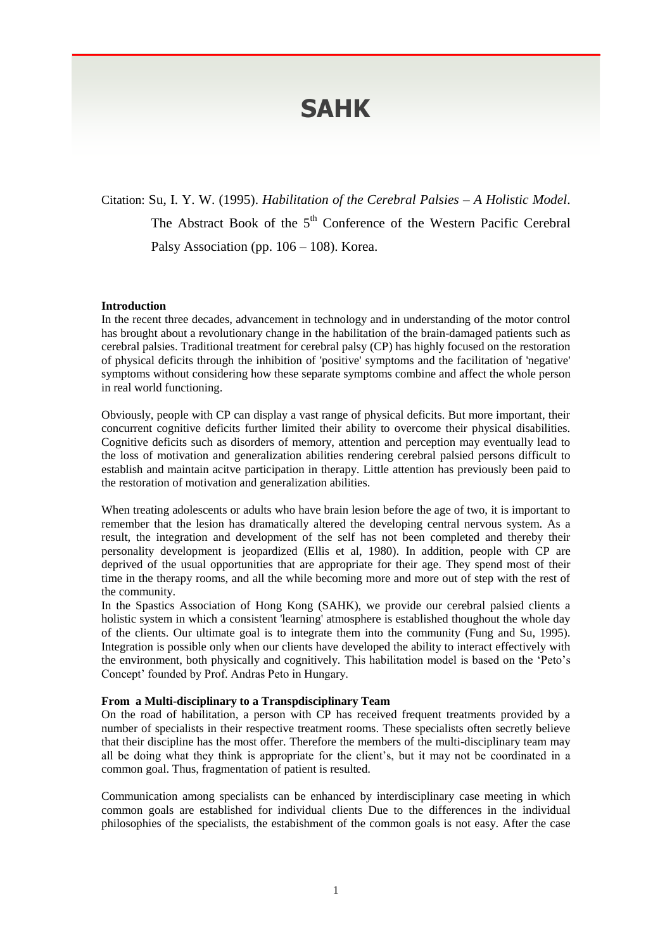# **SAHK**

Citation: Su, I. Y. W. (1995). *Habilitation of the Cerebral Palsies – A Holistic Model*. The Abstract Book of the 5<sup>th</sup> Conference of the Western Pacific Cerebral Palsy Association (pp. 106 – 108). Korea.

### **Introduction**

In the recent three decades, advancement in technology and in understanding of the motor control has brought about a revolutionary change in the habilitation of the brain-damaged patients such as cerebral palsies. Traditional treatment for cerebral palsy (CP) has highly focused on the restoration of physical deficits through the inhibition of 'positive' symptoms and the facilitation of 'negative' symptoms without considering how these separate symptoms combine and affect the whole person in real world functioning.

Obviously, people with CP can display a vast range of physical deficits. But more important, their concurrent cognitive deficits further limited their ability to overcome their physical disabilities. Cognitive deficits such as disorders of memory, attention and perception may eventually lead to the loss of motivation and generalization abilities rendering cerebral palsied persons difficult to establish and maintain acitve participation in therapy. Little attention has previously been paid to the restoration of motivation and generalization abilities.

When treating adolescents or adults who have brain lesion before the age of two, it is important to remember that the lesion has dramatically altered the developing central nervous system. As a result, the integration and development of the self has not been completed and thereby their personality development is jeopardized (Ellis et al, 1980). In addition, people with CP are deprived of the usual opportunities that are appropriate for their age. They spend most of their time in the therapy rooms, and all the while becoming more and more out of step with the rest of the community.

In the Spastics Association of Hong Kong (SAHK), we provide our cerebral palsied clients a holistic system in which a consistent 'learning' atmosphere is established thoughout the whole day of the clients. Our ultimate goal is to integrate them into the community (Fung and Su, 1995). Integration is possible only when our clients have developed the ability to interact effectively with the environment, both physically and cognitively. This habilitation model is based on the 'Peto's Concept' founded by Prof. Andras Peto in Hungary.

## **From a Multi-disciplinary to a Transpdisciplinary Team**

On the road of habilitation, a person with CP has received frequent treatments provided by a number of specialists in their respective treatment rooms. These specialists often secretly believe that their discipline has the most offer. Therefore the members of the multi-disciplinary team may all be doing what they think is appropriate for the client's, but it may not be coordinated in a common goal. Thus, fragmentation of patient is resulted.

Communication among specialists can be enhanced by interdisciplinary case meeting in which common goals are established for individual clients Due to the differences in the individual philosophies of the specialists, the estabishment of the common goals is not easy. After the case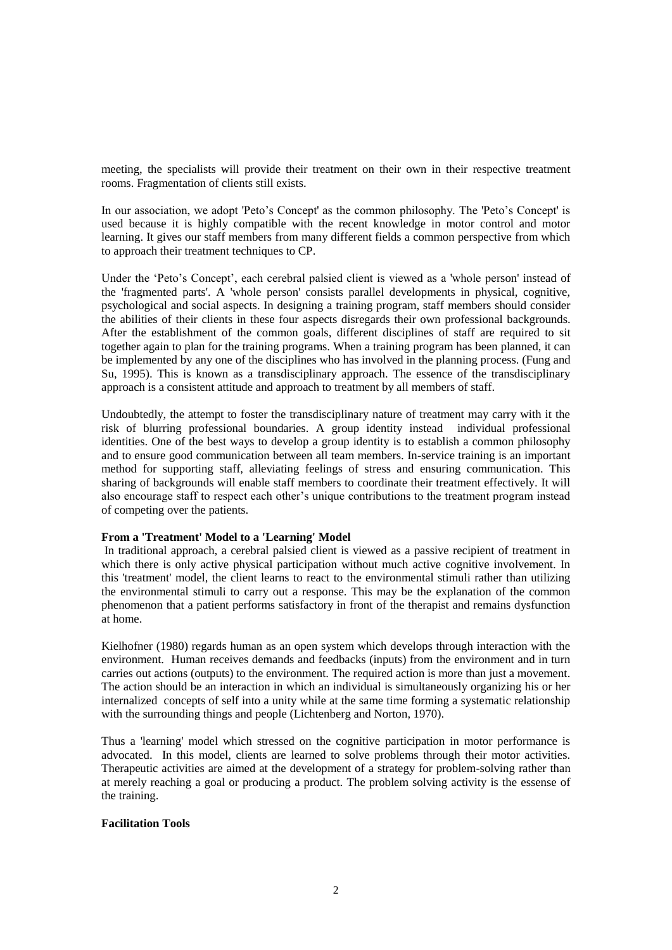meeting, the specialists will provide their treatment on their own in their respective treatment rooms. Fragmentation of clients still exists.

In our association, we adopt 'Peto's Concept' as the common philosophy. The 'Peto's Concept' is used because it is highly compatible with the recent knowledge in motor control and motor learning. It gives our staff members from many different fields a common perspective from which to approach their treatment techniques to CP.

Under the 'Peto's Concept', each cerebral palsied client is viewed as a 'whole person' instead of the 'fragmented parts'. A 'whole person' consists parallel developments in physical, cognitive, psychological and social aspects. In designing a training program, staff members should consider the abilities of their clients in these four aspects disregards their own professional backgrounds. After the establishment of the common goals, different disciplines of staff are required to sit together again to plan for the training programs. When a training program has been planned, it can be implemented by any one of the disciplines who has involved in the planning process. (Fung and Su, 1995). This is known as a transdisciplinary approach. The essence of the transdisciplinary approach is a consistent attitude and approach to treatment by all members of staff.

Undoubtedly, the attempt to foster the transdisciplinary nature of treatment may carry with it the risk of blurring professional boundaries. A group identity instead individual professional identities. One of the best ways to develop a group identity is to establish a common philosophy and to ensure good communication between all team members. In-service training is an important method for supporting staff, alleviating feelings of stress and ensuring communication. This sharing of backgrounds will enable staff members to coordinate their treatment effectively. It will also encourage staff to respect each other's unique contributions to the treatment program instead of competing over the patients.

## **From a 'Treatment' Model to a 'Learning' Model**

In traditional approach, a cerebral palsied client is viewed as a passive recipient of treatment in which there is only active physical participation without much active cognitive involvement. In this 'treatment' model, the client learns to react to the environmental stimuli rather than utilizing the environmental stimuli to carry out a response. This may be the explanation of the common phenomenon that a patient performs satisfactory in front of the therapist and remains dysfunction at home.

Kielhofner (1980) regards human as an open system which develops through interaction with the environment. Human receives demands and feedbacks (inputs) from the environment and in turn carries out actions (outputs) to the environment. The required action is more than just a movement. The action should be an interaction in which an individual is simultaneously organizing his or her internalized concepts of self into a unity while at the same time forming a systematic relationship with the surrounding things and people (Lichtenberg and Norton, 1970).

Thus a 'learning' model which stressed on the cognitive participation in motor performance is advocated. In this model, clients are learned to solve problems through their motor activities. Therapeutic activities are aimed at the development of a strategy for problem-solving rather than at merely reaching a goal or producing a product. The problem solving activity is the essense of the training.

## **Facilitation Tools**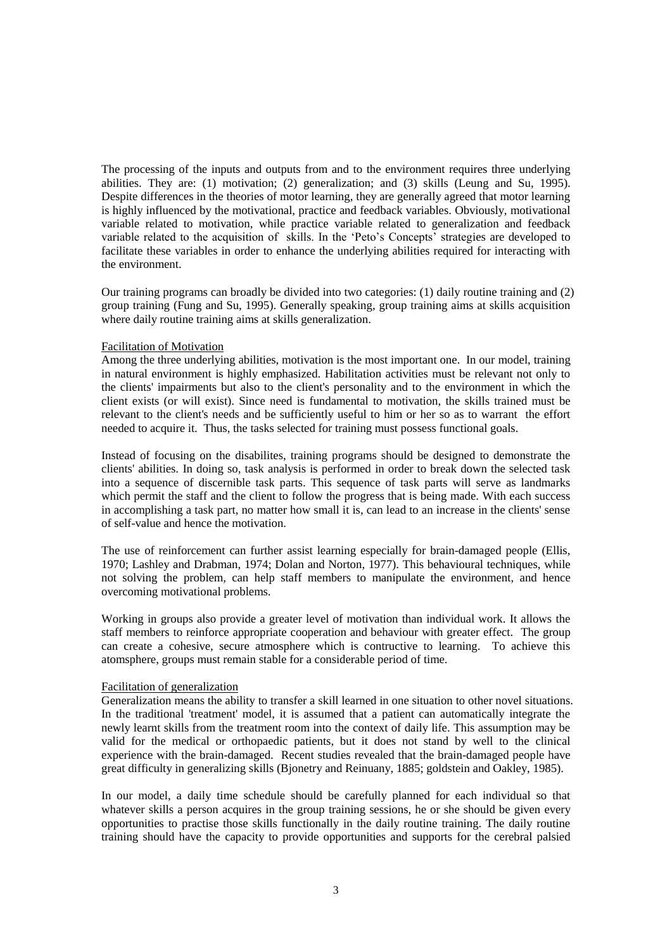The processing of the inputs and outputs from and to the environment requires three underlying abilities. They are: (1) motivation; (2) generalization; and (3) skills (Leung and Su, 1995). Despite differences in the theories of motor learning, they are generally agreed that motor learning is highly influenced by the motivational, practice and feedback variables. Obviously, motivational variable related to motivation, while practice variable related to generalization and feedback variable related to the acquisition of skills. In the 'Peto's Concepts' strategies are developed to facilitate these variables in order to enhance the underlying abilities required for interacting with the environment.

Our training programs can broadly be divided into two categories: (1) daily routine training and (2) group training (Fung and Su, 1995). Generally speaking, group training aims at skills acquisition where daily routine training aims at skills generalization.

### Facilitation of Motivation

Among the three underlying abilities, motivation is the most important one. In our model, training in natural environment is highly emphasized. Habilitation activities must be relevant not only to the clients' impairments but also to the client's personality and to the environment in which the client exists (or will exist). Since need is fundamental to motivation, the skills trained must be relevant to the client's needs and be sufficiently useful to him or her so as to warrant the effort needed to acquire it. Thus, the tasks selected for training must possess functional goals.

Instead of focusing on the disabilites, training programs should be designed to demonstrate the clients' abilities. In doing so, task analysis is performed in order to break down the selected task into a sequence of discernible task parts. This sequence of task parts will serve as landmarks which permit the staff and the client to follow the progress that is being made. With each success in accomplishing a task part, no matter how small it is, can lead to an increase in the clients' sense of self-value and hence the motivation.

The use of reinforcement can further assist learning especially for brain-damaged people (Ellis, 1970; Lashley and Drabman, 1974; Dolan and Norton, 1977). This behavioural techniques, while not solving the problem, can help staff members to manipulate the environment, and hence overcoming motivational problems.

Working in groups also provide a greater level of motivation than individual work. It allows the staff members to reinforce appropriate cooperation and behaviour with greater effect. The group can create a cohesive, secure atmosphere which is contructive to learning. To achieve this atomsphere, groups must remain stable for a considerable period of time.

### Facilitation of generalization

Generalization means the ability to transfer a skill learned in one situation to other novel situations. In the traditional 'treatment' model, it is assumed that a patient can automatically integrate the newly learnt skills from the treatment room into the context of daily life. This assumption may be valid for the medical or orthopaedic patients, but it does not stand by well to the clinical experience with the brain-damaged. Recent studies revealed that the brain-damaged people have great difficulty in generalizing skills (Bjonetry and Reinuany, 1885; goldstein and Oakley, 1985).

In our model, a daily time schedule should be carefully planned for each individual so that whatever skills a person acquires in the group training sessions, he or she should be given every opportunities to practise those skills functionally in the daily routine training. The daily routine training should have the capacity to provide opportunities and supports for the cerebral palsied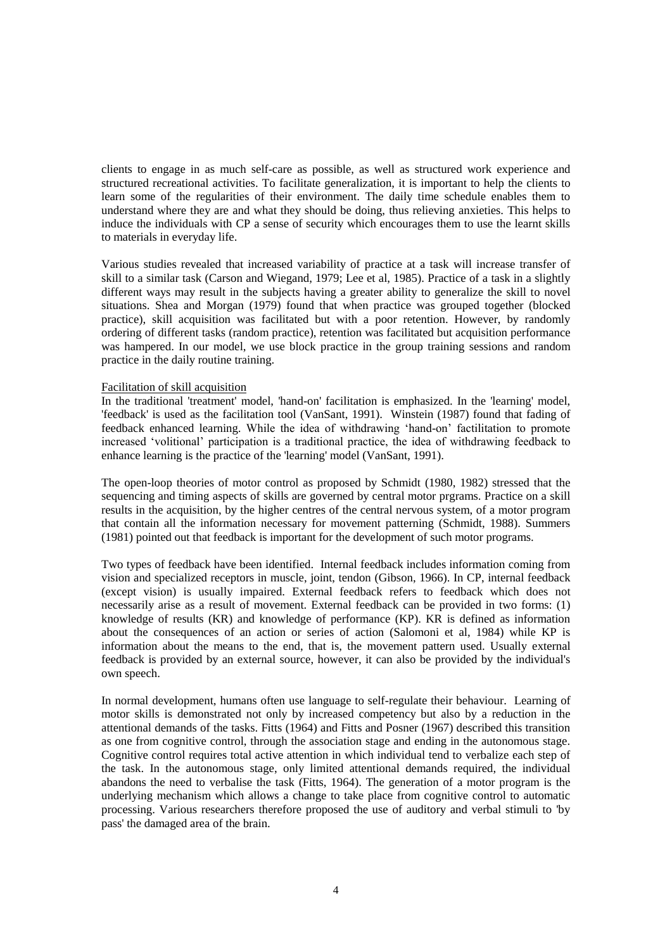clients to engage in as much self-care as possible, as well as structured work experience and structured recreational activities. To facilitate generalization, it is important to help the clients to learn some of the regularities of their environment. The daily time schedule enables them to understand where they are and what they should be doing, thus relieving anxieties. This helps to induce the individuals with CP a sense of security which encourages them to use the learnt skills to materials in everyday life.

Various studies revealed that increased variability of practice at a task will increase transfer of skill to a similar task (Carson and Wiegand, 1979; Lee et al, 1985). Practice of a task in a slightly different ways may result in the subjects having a greater ability to generalize the skill to novel situations. Shea and Morgan (1979) found that when practice was grouped together (blocked practice), skill acquisition was facilitated but with a poor retention. However, by randomly ordering of different tasks (random practice), retention was facilitated but acquisition performance was hampered. In our model, we use block practice in the group training sessions and random practice in the daily routine training.

### Facilitation of skill acquisition

In the traditional 'treatment' model, 'hand-on' facilitation is emphasized. In the 'learning' model, 'feedback' is used as the facilitation tool (VanSant, 1991). Winstein (1987) found that fading of feedback enhanced learning. While the idea of withdrawing 'hand-on' factilitation to promote increased 'volitional' participation is a traditional practice, the idea of withdrawing feedback to enhance learning is the practice of the 'learning' model (VanSant, 1991).

The open-loop theories of motor control as proposed by Schmidt (1980, 1982) stressed that the sequencing and timing aspects of skills are governed by central motor prgrams. Practice on a skill results in the acquisition, by the higher centres of the central nervous system, of a motor program that contain all the information necessary for movement patterning (Schmidt, 1988). Summers (1981) pointed out that feedback is important for the development of such motor programs.

Two types of feedback have been identified. Internal feedback includes information coming from vision and specialized receptors in muscle, joint, tendon (Gibson, 1966). In CP, internal feedback (except vision) is usually impaired. External feedback refers to feedback which does not necessarily arise as a result of movement. External feedback can be provided in two forms: (1) knowledge of results (KR) and knowledge of performance (KP). KR is defined as information about the consequences of an action or series of action (Salomoni et al, 1984) while KP is information about the means to the end, that is, the movement pattern used. Usually external feedback is provided by an external source, however, it can also be provided by the individual's own speech.

In normal development, humans often use language to self-regulate their behaviour. Learning of motor skills is demonstrated not only by increased competency but also by a reduction in the attentional demands of the tasks. Fitts (1964) and Fitts and Posner (1967) described this transition as one from cognitive control, through the association stage and ending in the autonomous stage. Cognitive control requires total active attention in which individual tend to verbalize each step of the task. In the autonomous stage, only limited attentional demands required, the individual abandons the need to verbalise the task (Fitts, 1964). The generation of a motor program is the underlying mechanism which allows a change to take place from cognitive control to automatic processing. Various researchers therefore proposed the use of auditory and verbal stimuli to 'by pass' the damaged area of the brain.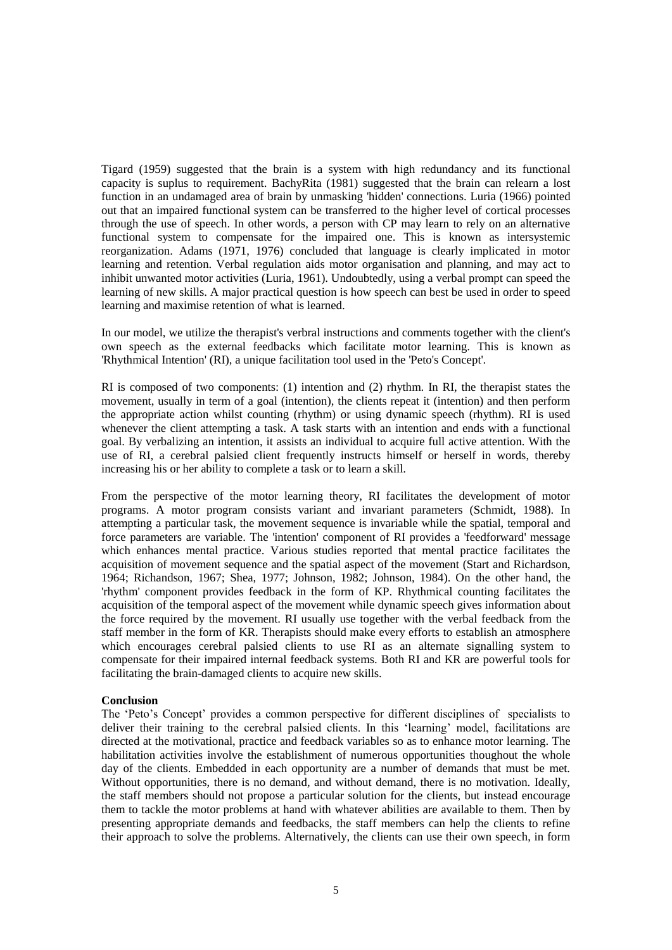Tigard (1959) suggested that the brain is a system with high redundancy and its functional capacity is suplus to requirement. BachyRita (1981) suggested that the brain can relearn a lost function in an undamaged area of brain by unmasking 'hidden' connections. Luria (1966) pointed out that an impaired functional system can be transferred to the higher level of cortical processes through the use of speech. In other words, a person with CP may learn to rely on an alternative functional system to compensate for the impaired one. This is known as intersystemic reorganization. Adams (1971, 1976) concluded that language is clearly implicated in motor learning and retention. Verbal regulation aids motor organisation and planning, and may act to inhibit unwanted motor activities (Luria, 1961). Undoubtedly, using a verbal prompt can speed the learning of new skills. A major practical question is how speech can best be used in order to speed learning and maximise retention of what is learned.

In our model, we utilize the therapist's verbral instructions and comments together with the client's own speech as the external feedbacks which facilitate motor learning. This is known as 'Rhythmical Intention' (RI), a unique facilitation tool used in the 'Peto's Concept'.

RI is composed of two components: (1) intention and (2) rhythm. In RI, the therapist states the movement, usually in term of a goal (intention), the clients repeat it (intention) and then perform the appropriate action whilst counting (rhythm) or using dynamic speech (rhythm). RI is used whenever the client attempting a task. A task starts with an intention and ends with a functional goal. By verbalizing an intention, it assists an individual to acquire full active attention. With the use of RI, a cerebral palsied client frequently instructs himself or herself in words, thereby increasing his or her ability to complete a task or to learn a skill.

From the perspective of the motor learning theory, RI facilitates the development of motor programs. A motor program consists variant and invariant parameters (Schmidt, 1988). In attempting a particular task, the movement sequence is invariable while the spatial, temporal and force parameters are variable. The 'intention' component of RI provides a 'feedforward' message which enhances mental practice. Various studies reported that mental practice facilitates the acquisition of movement sequence and the spatial aspect of the movement (Start and Richardson, 1964; Richandson, 1967; Shea, 1977; Johnson, 1982; Johnson, 1984). On the other hand, the 'rhythm' component provides feedback in the form of KP. Rhythmical counting facilitates the acquisition of the temporal aspect of the movement while dynamic speech gives information about the force required by the movement. RI usually use together with the verbal feedback from the staff member in the form of KR. Therapists should make every efforts to establish an atmosphere which encourages cerebral palsied clients to use RI as an alternate signalling system to compensate for their impaired internal feedback systems. Both RI and KR are powerful tools for facilitating the brain-damaged clients to acquire new skills.

## **Conclusion**

The 'Peto's Concept' provides a common perspective for different disciplines of specialists to deliver their training to the cerebral palsied clients. In this 'learning' model, facilitations are directed at the motivational, practice and feedback variables so as to enhance motor learning. The habilitation activities involve the establishment of numerous opportunities thoughout the whole day of the clients. Embedded in each opportunity are a number of demands that must be met. Without opportunities, there is no demand, and without demand, there is no motivation. Ideally, the staff members should not propose a particular solution for the clients, but instead encourage them to tackle the motor problems at hand with whatever abilities are available to them. Then by presenting appropriate demands and feedbacks, the staff members can help the clients to refine their approach to solve the problems. Alternatively, the clients can use their own speech, in form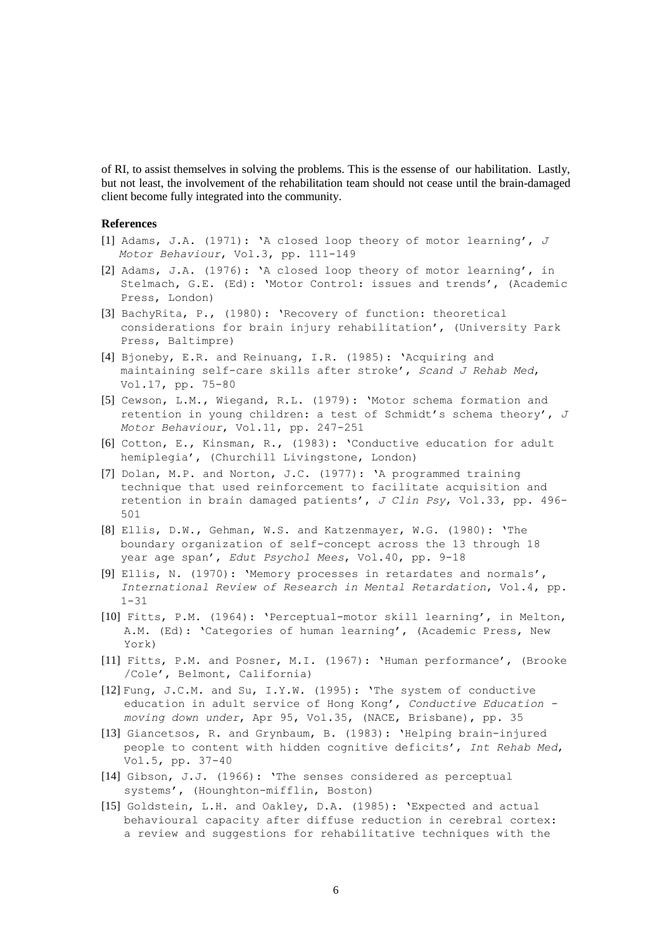of RI, to assist themselves in solving the problems. This is the essense of our habilitation. Lastly, but not least, the involvement of the rehabilitation team should not cease until the brain-damaged client become fully integrated into the community.

#### **References**

- [1] Adams, J.A. (1971): 'A closed loop theory of motor learning', *J Motor Behaviour*, Vol.3, pp. 111-149
- [2] Adams, J.A. (1976): 'A closed loop theory of motor learning', in Stelmach, G.E. (Ed): 'Motor Control: issues and trends', (Academic Press, London)
- [3] BachyRita, P., (1980): 'Recovery of function: theoretical considerations for brain injury rehabilitation', (University Park Press, Baltimpre)
- [4] Bjoneby, E.R. and Reinuang, I.R. (1985): 'Acquiring and maintaining self-care skills after stroke', *Scand J Rehab Med*, Vol.17, pp. 75-80
- [5] Cewson, L.M., Wiegand, R.L. (1979): 'Motor schema formation and retention in young children: a test of Schmidt's schema theory', *J Motor Behaviour*, Vol.11, pp. 247-251
- [6] Cotton, E., Kinsman, R., (1983): 'Conductive education for adult hemiplegia', (Churchill Livingstone, London)
- [7] Dolan, M.P. and Norton, J.C. (1977): 'A programmed training technique that used reinforcement to facilitate acquisition and retention in brain damaged patients', *J Clin Psy*, Vol.33, pp. 496- 501
- [8] Ellis, D.W., Gehman, W.S. and Katzenmayer, W.G. (1980): 'The boundary organization of self-concept across the 13 through 18 year age span', *Edut Psychol Mees*, Vol.40, pp. 9-18
- [9] Ellis, N. (1970): 'Memory processes in retardates and normals', *International Review of Research in Mental Retardation*, Vol.4, pp.  $1 - 31$
- [10] Fitts, P.M. (1964): 'Perceptual-motor skill learning', in Melton, A.M. (Ed): 'Categories of human learning', (Academic Press, New York)
- [11] Fitts, P.M. and Posner, M.I. (1967): 'Human performance', (Brooke /Cole', Belmont, California)
- [12] Fung, J.C.M. and Su, I.Y.W. (1995): 'The system of conductive education in adult service of Hong Kong', *Conductive Education moving down under*, Apr 95, Vol.35, (NACE, Brisbane), pp. 35
- [13] Giancetsos, R. and Grynbaum, B. (1983): 'Helping brain-injured people to content with hidden cognitive deficits', *Int Rehab Med*, Vol.5, pp. 37-40
- [14] Gibson, J.J. (1966): 'The senses considered as perceptual systems', (Hounghton-mifflin, Boston)
- [15] Goldstein, L.H. and Oakley, D.A. (1985): 'Expected and actual behavioural capacity after diffuse reduction in cerebral cortex: a review and suggestions for rehabilitative techniques with the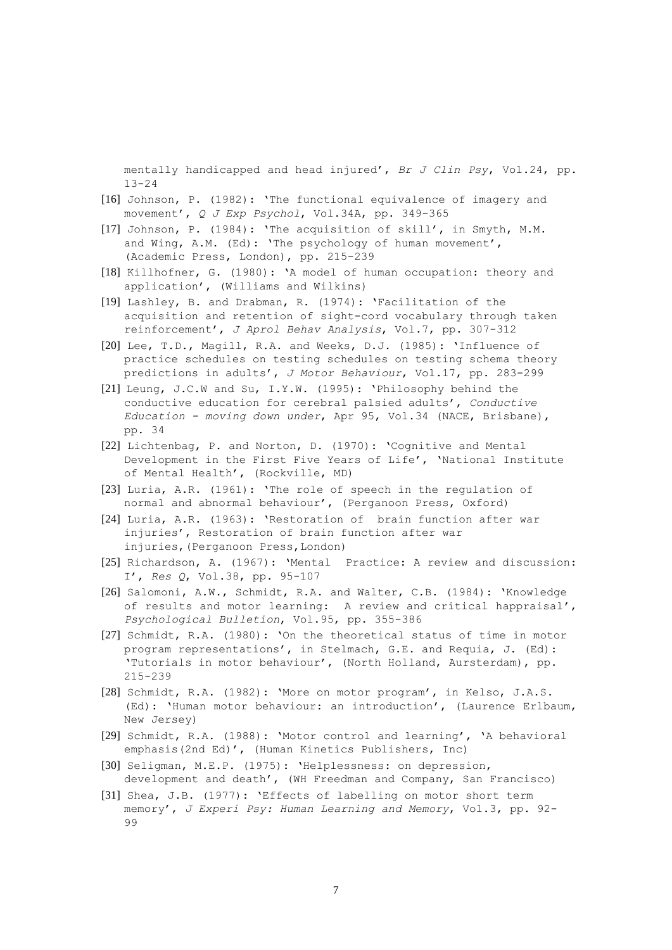mentally handicapped and head injured', *Br J Clin Psy*, Vol.24, pp. 13-24

- [16] Johnson, P. (1982): 'The functional equivalence of imagery and movement', *Q J Exp Psychol*, Vol.34A, pp. 349-365
- [17] Johnson, P. (1984): 'The acquisition of skill', in Smyth, M.M. and Wing, A.M. (Ed): 'The psychology of human movement', (Academic Press, London), pp. 215-239
- [18] Killhofner, G. (1980): 'A model of human occupation: theory and application', (Williams and Wilkins)
- [19] Lashley, B. and Drabman, R. (1974): 'Facilitation of the acquisition and retention of sight-cord vocabulary through taken reinforcement', *J Aprol Behav Analysis*, Vol.7, pp. 307-312
- [20] Lee, T.D., Magill, R.A. and Weeks, D.J. (1985): 'Influence of practice schedules on testing schedules on testing schema theory predictions in adults', *J Motor Behaviour*, Vol.17, pp. 283-299
- [21] Leung, J.C.W and Su, I.Y.W. (1995): 'Philosophy behind the conductive education for cerebral palsied adults', *Conductive Education - moving down under*, Apr 95, Vol.34 (NACE, Brisbane), pp. 34
- [22] Lichtenbag, P. and Norton, D. (1970): 'Cognitive and Mental Development in the First Five Years of Life', 'National Institute of Mental Health', (Rockville, MD)
- [23] Luria, A.R. (1961): 'The role of speech in the regulation of normal and abnormal behaviour', (Perganoon Press, Oxford)
- [24] Luria, A.R. (1963): 'Restoration of brain function after war injuries', Restoration of brain function after war injuries,(Perganoon Press,London)
- [25] Richardson, A. (1967): 'Mental Practice: A review and discussion: I', *Res Q*, Vol.38, pp. 95-107
- [26] Salomoni, A.W., Schmidt, R.A. and Walter, C.B. (1984): 'Knowledge of results and motor learning: A review and critical happraisal', *Psychological Bulletion*, Vol.95, pp. 355-386
- [27] Schmidt, R.A. (1980): 'On the theoretical status of time in motor program representations', in Stelmach, G.E. and Requia, J. (Ed): 'Tutorials in motor behaviour', (North Holland, Aursterdam), pp. 215-239
- [28] Schmidt, R.A. (1982): 'More on motor program', in Kelso, J.A.S. (Ed): 'Human motor behaviour: an introduction', (Laurence Erlbaum, New Jersey)
- [29] Schmidt, R.A. (1988): 'Motor control and learning', 'A behavioral emphasis(2nd Ed)', (Human Kinetics Publishers, Inc)
- [30] Seligman, M.E.P. (1975): 'Helplessness: on depression, development and death', (WH Freedman and Company, San Francisco)
- [31] Shea, J.B. (1977): 'Effects of labelling on motor short term memory', *J Experi Psy: Human Learning and Memory*, Vol.3, pp. 92- 99